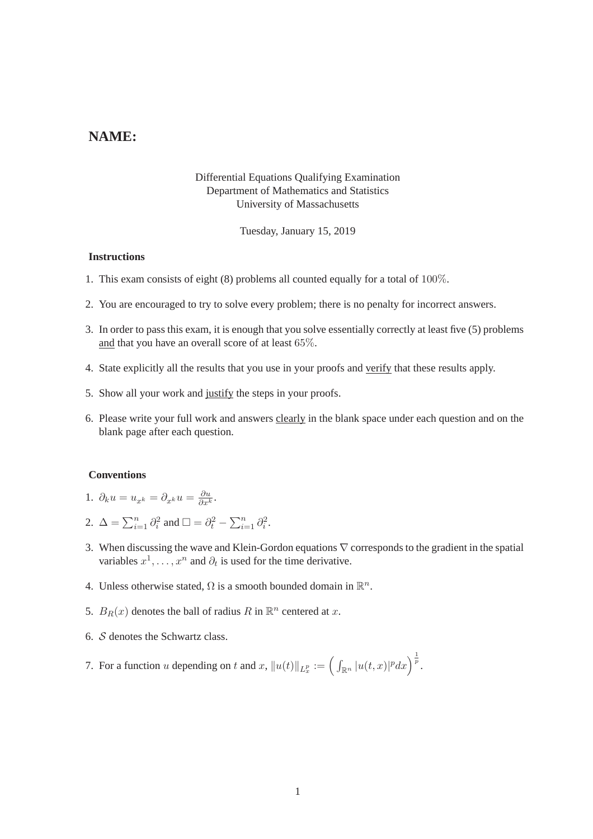# **NAME:**

### Differential Equations Qualifying Examination Department of Mathematics and Statistics University of Massachusetts

Tuesday, January 15, 2019

#### **Instructions**

- 1. This exam consists of eight (8) problems all counted equally for a total of 100%.
- 2. You are encouraged to try to solve every problem; there is no penalty for incorrect answers.
- 3. In order to pass this exam, it is enough that you solve essentially correctly at least five (5) problems and that you have an overall score of at least 65%.
- 4. State explicitly all the results that you use in your proofs and verify that these results apply.
- 5. Show all your work and justify the steps in your proofs.
- 6. Please write your full work and answers clearly in the blank space under each question and on the blank page after each question.

#### **Conventions**

- 1.  $\partial_k u = u_{x^k} = \partial_{x^k} u = \frac{\partial u}{\partial x^k}$ .
- 2.  $\Delta = \sum_{i=1}^n \partial_i^2$  and  $\square = \partial_t^2 \sum_{i=1}^n \partial_i^2$ .
- 3. When discussing the wave and Klein-Gordon equations ∇ corresponds to the gradient in the spatial variables  $x^1, \ldots, x^n$  and  $\partial_t$  is used for the time derivative.
- 4. Unless otherwise stated,  $\Omega$  is a smooth bounded domain in  $\mathbb{R}^n$ .
- 5.  $B_R(x)$  denotes the ball of radius R in  $\mathbb{R}^n$  centered at x.
- 6. S denotes the Schwartz class.
- 7. For a function u depending on t and x,  $||u(t)||_{L_x^p} := \left(\int_{\mathbb{R}^n} |u(t,x)|^p dx\right)^{\frac{1}{p}}$ .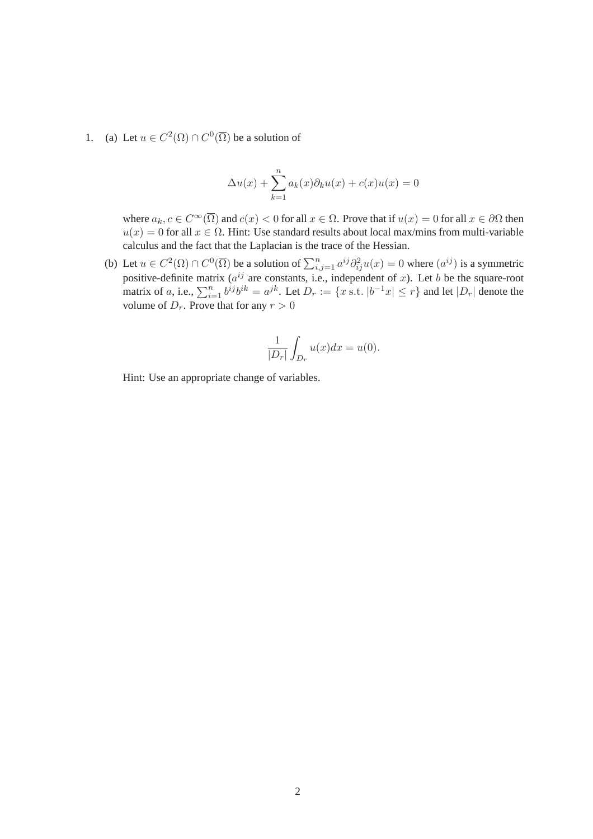1. (a) Let  $u \in C^2(\Omega) \cap C^0(\overline{\Omega})$  be a solution of

$$
\Delta u(x) + \sum_{k=1}^{n} a_k(x)\partial_k u(x) + c(x)u(x) = 0
$$

where  $a_k, c \in C^\infty(\overline{\Omega})$  and  $c(x) < 0$  for all  $x \in \Omega$ . Prove that if  $u(x) = 0$  for all  $x \in \partial\Omega$  then  $u(x) = 0$  for all  $x \in \Omega$ . Hint: Use standard results about local max/mins from multi-variable calculus and the fact that the Laplacian is the trace of the Hessian.

(b) Let  $u \in C^2(\Omega) \cap C^0(\overline{\Omega})$  be a solution of  $\sum_{i,j=1}^n a^{ij} \partial_{ij}^2 u(x) = 0$  where  $(a^{ij})$  is a symmetric positive-definite matrix ( $a^{ij}$  are constants, i.e., independent of x). Let b be the square-root matrix of a, i.e.,  $\sum_{i=1}^{n} b^{ij}b^{ik} = a^{jk}$ . Let  $D_r := \{x \text{ s.t. } |b^{-1}x| \leq r\}$  and let  $|D_r|$  denote the volume of  $D_r$ . Prove that for any  $r > 0$ 

$$
\frac{1}{|D_r|} \int_{D_r} u(x) dx = u(0).
$$

Hint: Use an appropriate change of variables.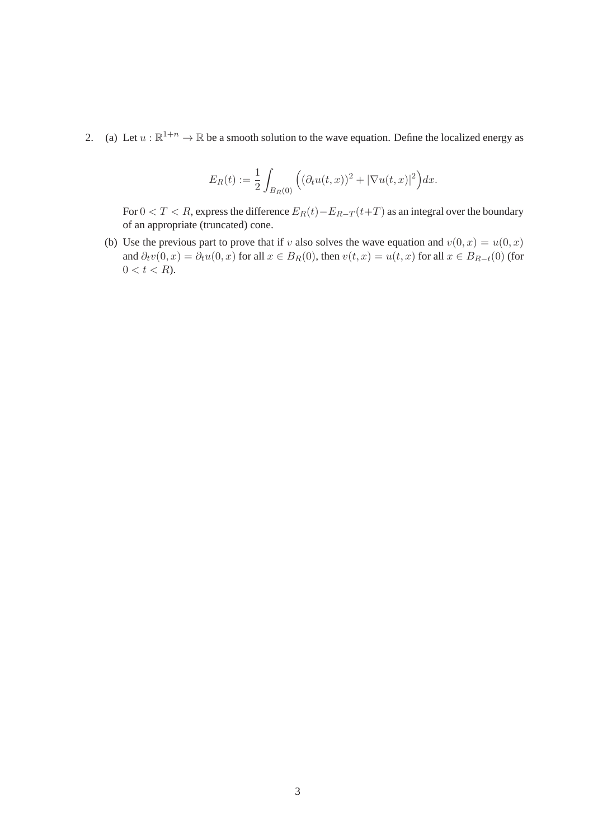2. (a) Let  $u : \mathbb{R}^{1+n} \to \mathbb{R}$  be a smooth solution to the wave equation. Define the localized energy as

$$
E_R(t) := \frac{1}{2} \int_{B_R(0)} \Big( (\partial_t u(t,x))^2 + |\nabla u(t,x)|^2 \Big) dx.
$$

For  $0 < T < R$ , express the difference  $E_R(t) - E_{R-T}(t+T)$  as an integral over the boundary of an appropriate (truncated) cone.

(b) Use the previous part to prove that if v also solves the wave equation and  $v(0, x) = u(0, x)$ and  $\partial_t v(0, x) = \partial_t u(0, x)$  for all  $x \in B_R(0)$ , then  $v(t, x) = u(t, x)$  for all  $x \in B_{R-t}(0)$  (for  $0 < t < R$ ).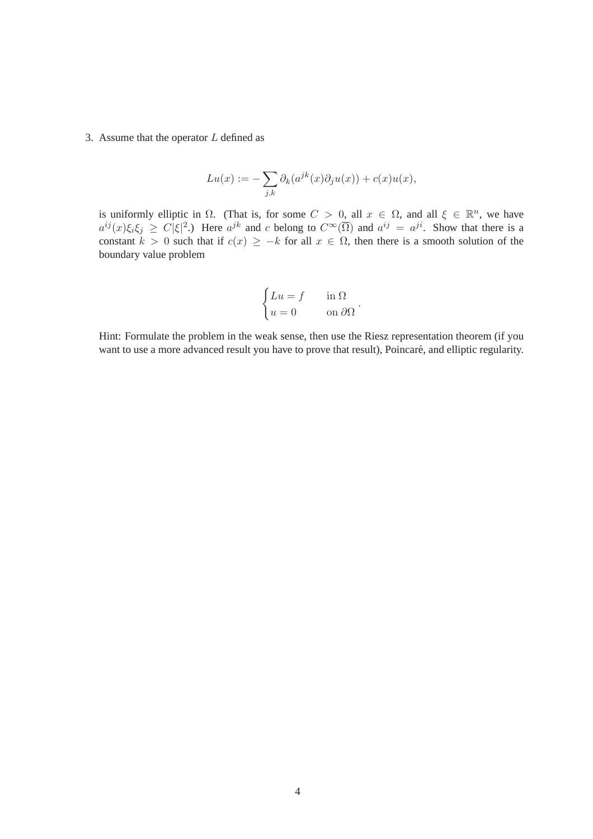3. Assume that the operator  $L$  defined as

$$
Lu(x) := -\sum_{j,k} \partial_k(a^{jk}(x)\partial_j u(x)) + c(x)u(x),
$$

is uniformly elliptic in  $\Omega$ . (That is, for some  $C > 0$ , all  $x \in \Omega$ , and all  $\xi \in \mathbb{R}^n$ , we have  $a^{ij}(x)\xi_i\xi_j \ge C|\xi|^2$ .) Here  $a^{jk}$  and c belong to  $C^{\infty}(\overline{\Omega})$  and  $a^{ij} = a^{ji}$ . Show that there is a constant  $k > 0$  such that if  $c(x) \geq -k$  for all  $x \in \Omega$ , then there is a smooth solution of the boundary value problem

$$
\begin{cases} Lu = f & \text{in } \Omega \\ u = 0 & \text{on } \partial\Omega \end{cases}.
$$

Hint: Formulate the problem in the weak sense, then use the Riesz representation theorem (if you want to use a more advanced result you have to prove that result), Poincaré, and elliptic regularity.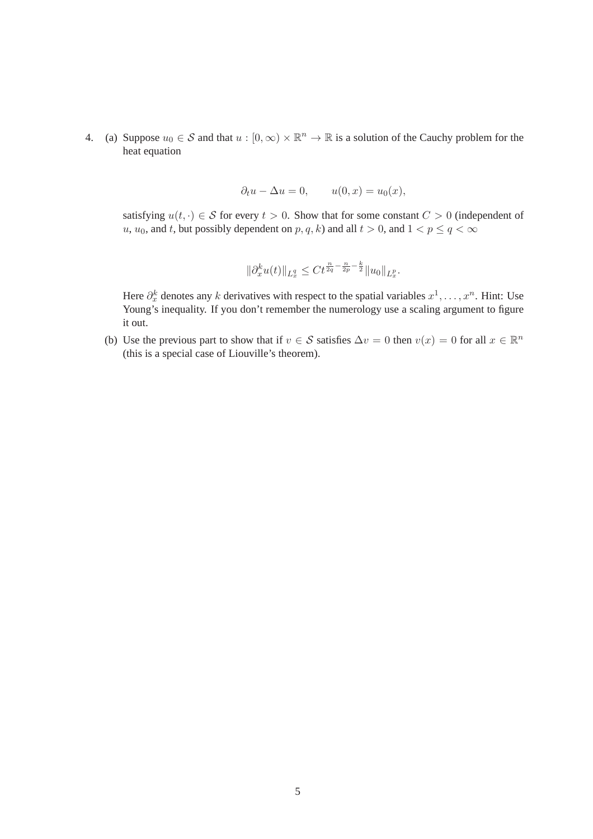4. (a) Suppose  $u_0 \in S$  and that  $u : [0, \infty) \times \mathbb{R}^n \to \mathbb{R}$  is a solution of the Cauchy problem for the heat equation

$$
\partial_t u - \Delta u = 0, \qquad u(0, x) = u_0(x),
$$

satisfying  $u(t, \cdot) \in \mathcal{S}$  for every  $t > 0$ . Show that for some constant  $C > 0$  (independent of u,  $u_0$ , and t, but possibly dependent on  $p, q, k$ ) and all  $t > 0$ , and  $1 < p \le q < \infty$ 

$$
\|\partial_x^k u(t)\|_{L^q_x} \le C t^{\frac{n}{2q} - \frac{n}{2p} - \frac{k}{2}} \|u_0\|_{L^p_x}.
$$

Here  $\partial_x^k$  denotes any k derivatives with respect to the spatial variables  $x^1, \ldots, x^n$ . Hint: Use Young's inequality. If you don't remember the numerology use a scaling argument to figure it out.

(b) Use the previous part to show that if  $v \in S$  satisfies  $\Delta v = 0$  then  $v(x) = 0$  for all  $x \in \mathbb{R}^n$ (this is a special case of Liouville's theorem).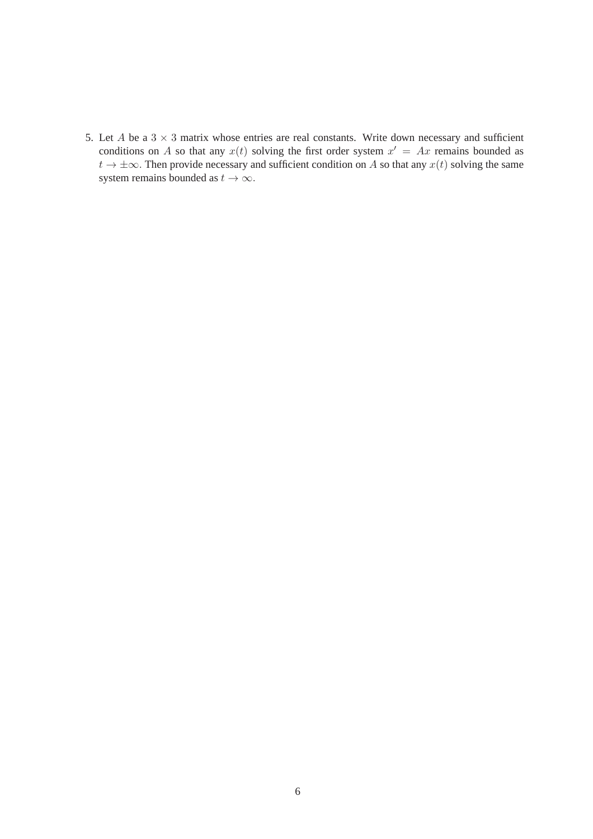5. Let  $A$  be a  $3 \times 3$  matrix whose entries are real constants. Write down necessary and sufficient conditions on A so that any  $x(t)$  solving the first order system  $x' = Ax$  remains bounded as  $t \to \pm \infty$ . Then provide necessary and sufficient condition on A so that any  $x(t)$  solving the same system remains bounded as  $t \to \infty$ .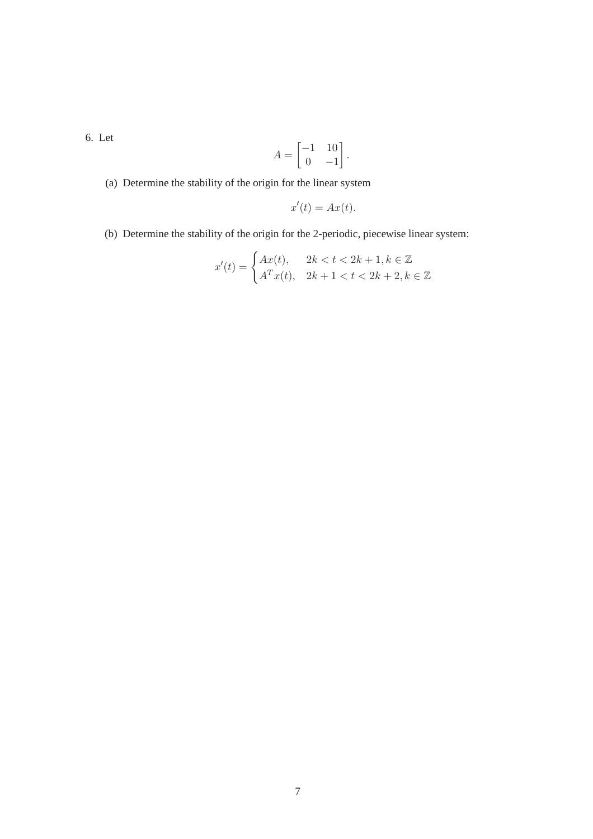6. Let

$$
A = \begin{bmatrix} -1 & 10 \\ 0 & -1 \end{bmatrix}.
$$

(a) Determine the stability of the origin for the linear system

J.

$$
x'(t) = Ax(t).
$$

(b) Determine the stability of the origin for the 2-periodic, piecewise linear system:

$$
x'(t) = \begin{cases} Ax(t), & 2k < t < 2k + 1, k \in \mathbb{Z} \\ A^T x(t), & 2k + 1 < t < 2k + 2, k \in \mathbb{Z} \end{cases}
$$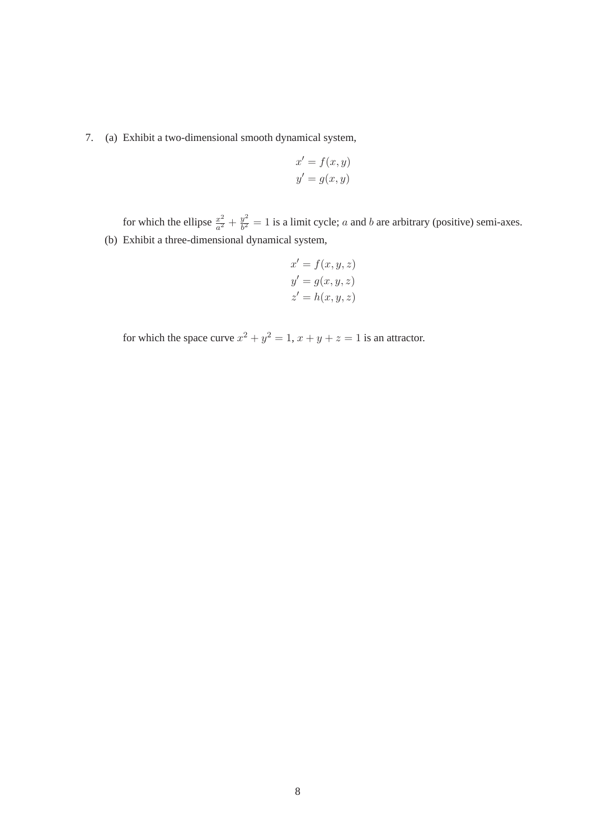## 7. (a) Exhibit a two-dimensional smooth dynamical system,

$$
x' = f(x, y)
$$

$$
y' = g(x, y)
$$

for which the ellipse  $\frac{x^2}{a^2}$  $rac{x^2}{a^2} + \frac{y^2}{b^2}$  $\frac{y^2}{b^2} = 1$  is a limit cycle; a and b are arbitrary (positive) semi-axes. (b) Exhibit a three-dimensional dynamical system,

$$
x' = f(x, y, z)
$$
  

$$
y' = g(x, y, z)
$$
  

$$
z' = h(x, y, z)
$$

for which the space curve  $x^2 + y^2 = 1$ ,  $x + y + z = 1$  is an attractor.